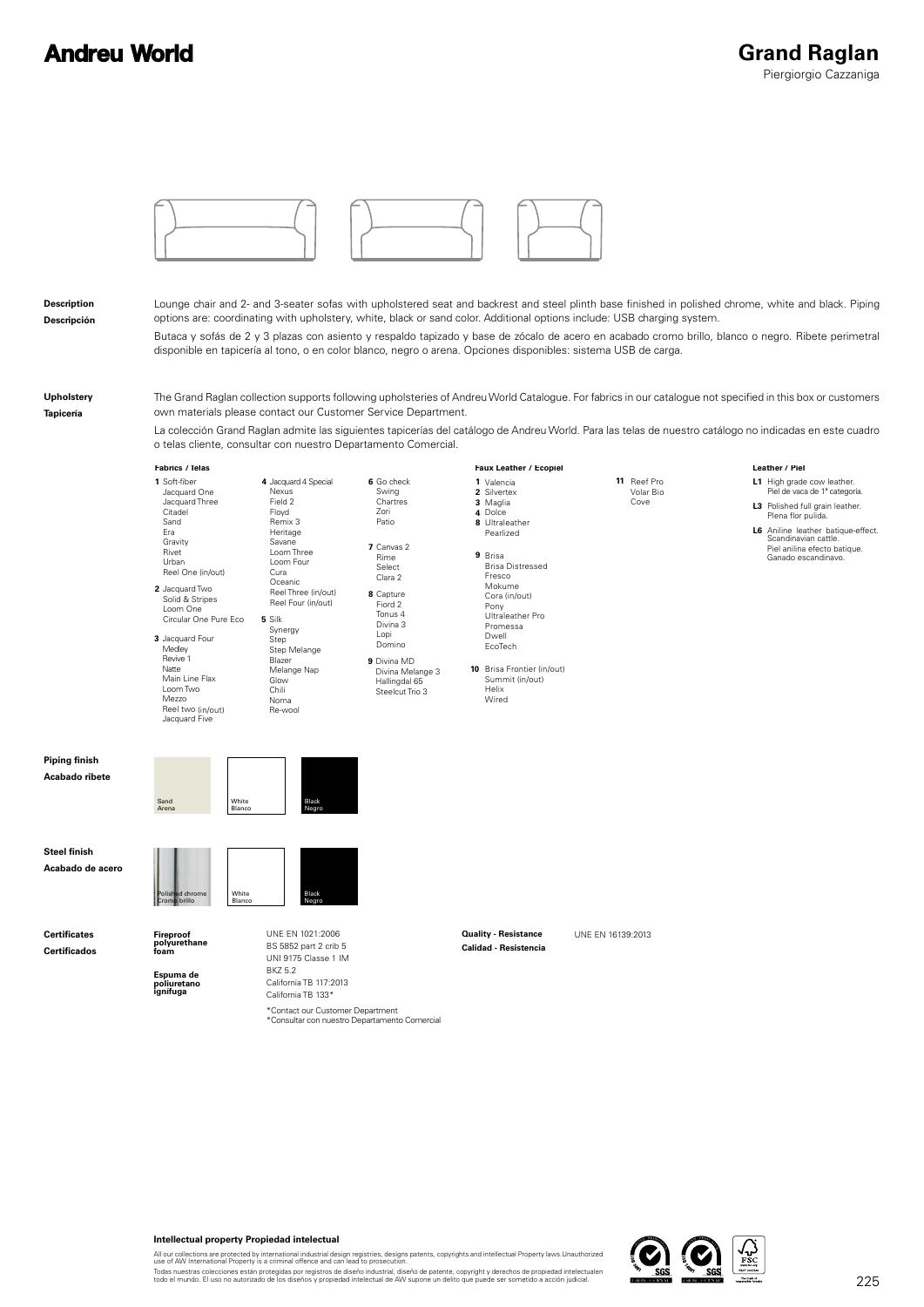# **Andreu World**



**Description Descripción**

Lounge chair and 2- and 3-seater sofas with upholstered seat and backrest and steel plinth base finished in polished chrome, white and black. Piping options are: coordinating with upholstery, white, black or sand color. Additional options include: USB charging system. Butaca y sofás de 2 y 3 plazas con asiento y respaldo tapizado y base de zócalo de acero en acabado cromo brillo, blanco o negro. Ribete perimetral disponible en tapicería al tono, o en color blanco, negro o arena. Opciones disponibles: sistema USB de carga.

**Upholstery Tapicería**

The Grand Raglan collection supports following upholsteries of Andreu World Catalogue. For fabrics in our catalogue not specified in this box or customers own materials please contact our Customer Service Department.

La colección Grand Raglan admite las siguientes tapicerías del catálogo de Andreu World. Para las telas de nuestro catálogo no indicadas en este cuadro o telas cliente, consultar con nuestro Departamento Comercial.



### **Intellectual property Propiedad intelectual**

All our collections are protected by international industrial design registries, designs patents, copyrights and intellectual Property laws.Unauthorized<br>use of AW International Property is a criminal offence and can lead t

Todas nuestras colecciones están protegidas por registros de diseño industrial, diseño de patente, copyright y derechos de propiedad intelectualen<br>todo el mundo. El uso no autorizado de los diseños y propiedad intelectual

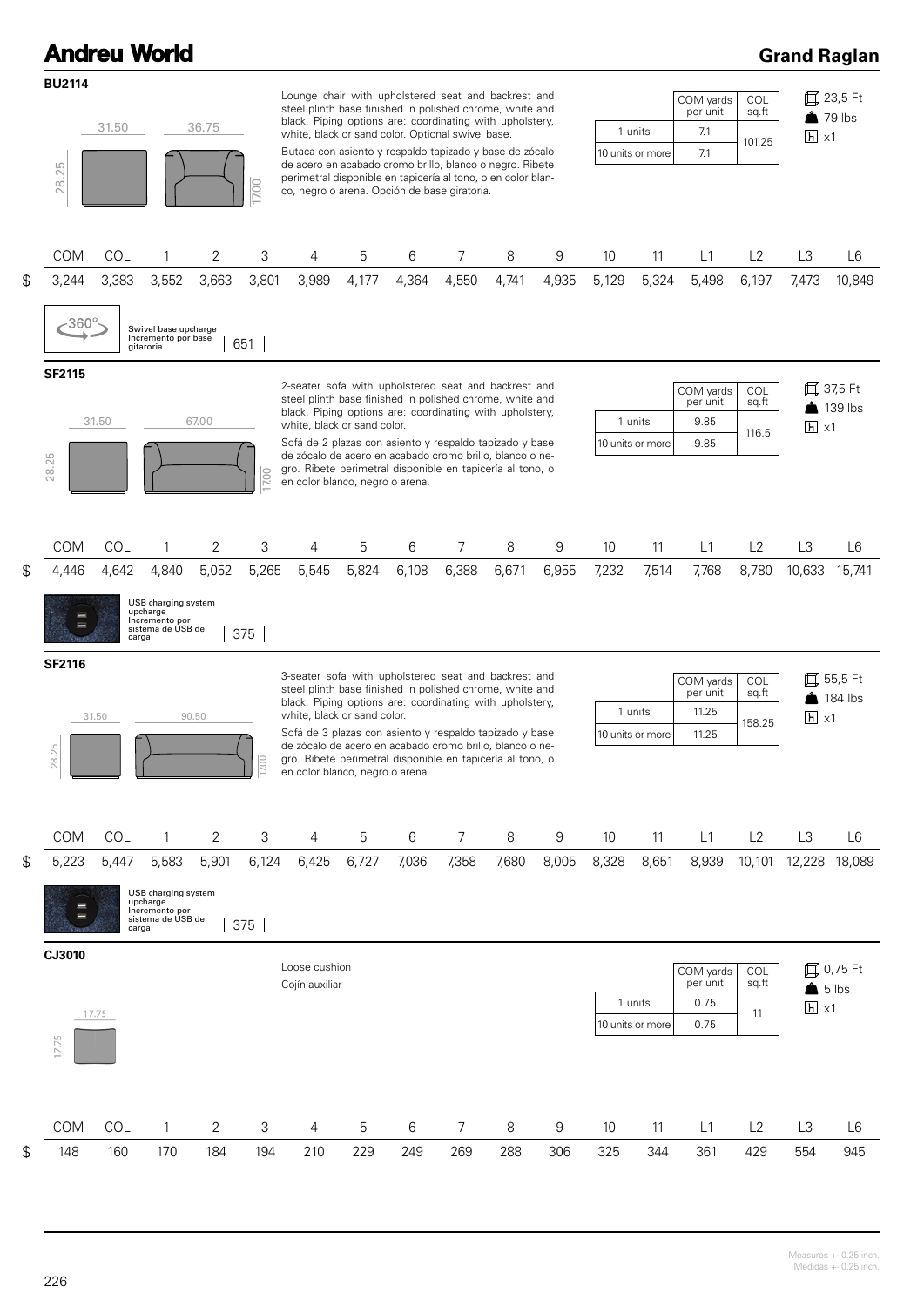#### **Andreu World BU2114** Lounge chair with upholstered seat and backrest and steel plinth base finished in polished chrome, white and black. Piping options are: coordinating with upholstery, 31.50 36.75 1 units white, black or sand color. Optional swivel base. Butaca con asiento y respaldo tapizado y base de zócalo de acero en acabado cromo brillo, blanco o negro. Ribete 28.25 perimetral disponible en tapicería al tono, o en color blan-17.00 co, negro o arena. Opción de base giratoria.

## **Grand Raglan**

|                | <b>BU2114</b>                                                                                                                     |                |                                                                                 |                |              | Lounge chair with upholstered seat and backrest and                                                                                                                                                                                                                                      |                                                                                         |       |                |       |       |                                                   |                  | COM yards        | COL                                   |                                     | 口 23,5 Ft          |
|----------------|-----------------------------------------------------------------------------------------------------------------------------------|----------------|---------------------------------------------------------------------------------|----------------|--------------|------------------------------------------------------------------------------------------------------------------------------------------------------------------------------------------------------------------------------------------------------------------------------------------|-----------------------------------------------------------------------------------------|-------|----------------|-------|-------|---------------------------------------------------|------------------|------------------|---------------------------------------|-------------------------------------|--------------------|
| 36.75<br>31.50 |                                                                                                                                   |                |                                                                                 |                |              | steel plinth base finished in polished chrome, white and<br>black. Piping options are: coordinating with upholstery,                                                                                                                                                                     |                                                                                         |       |                |       |       |                                                   | 1 units          | per unit<br>7.1  | sq.ft                                 |                                     | $\triangle$ 79 lbs |
|                | 28.25<br>7.00                                                                                                                     |                |                                                                                 |                |              | white, black or sand color. Optional swivel base.<br>Butaca con asiento y respaldo tapizado y base de zócalo<br>de acero en acabado cromo brillo, blanco o negro. Ribete<br>perimetral disponible en tapicería al tono, o en color blan-<br>co, negro o arena. Opción de base giratoria. |                                                                                         |       |                |       |       | 10 units or more                                  |                  | 7.1              | 101.25                                | $h \times 1$                        |                    |
|                |                                                                                                                                   |                |                                                                                 |                |              |                                                                                                                                                                                                                                                                                          |                                                                                         |       |                |       |       |                                                   |                  |                  |                                       |                                     |                    |
|                | <b>COM</b>                                                                                                                        | COL            | 1                                                                               | 2              | 3            | 4                                                                                                                                                                                                                                                                                        | 5                                                                                       | 6     | 7              | 8     | 9     | 10                                                | 11               | L1               | L2                                    | L3                                  | L6                 |
| \$             | 3,244                                                                                                                             | 3,383          | 3,552                                                                           | 3,663          | 3,801        | 3,989                                                                                                                                                                                                                                                                                    | 4,177                                                                                   | 4,364 | 4,550          | 4,741 | 4,935 | 5,129                                             | 5,324            | 5,498            | 6,197                                 | 7,473                               | 10,849             |
|                | $-360^\circ$                                                                                                                      |                | Swivel base upcharge<br>Incremento por base<br>gitaroria                        |                | 651          |                                                                                                                                                                                                                                                                                          |                                                                                         |       |                |       |       |                                                   |                  |                  |                                       |                                     |                    |
|                | <b>SF2115</b><br>2-seater sofa with upholstered seat and backrest and<br>steel plinth base finished in polished chrome, white and |                |                                                                                 |                |              |                                                                                                                                                                                                                                                                                          |                                                                                         |       |                |       |       |                                                   |                  | COM yards        | <b>COL</b>                            |                                     | 口 37,5 Ft          |
|                |                                                                                                                                   | 67.00<br>31.50 |                                                                                 |                |              |                                                                                                                                                                                                                                                                                          | black. Piping options are: coordinating with upholstery,<br>white, black or sand color. |       |                |       |       |                                                   |                  | per unit<br>9.85 | sq.ft                                 | $\triangle$ 139 lbs<br>$h \times 1$ |                    |
|                | Sofá de 2 plazas con asiento y respaldo tapizado y base<br>de zócalo de acero en acabado cromo brillo, blanco o ne-               |                |                                                                                 |                |              |                                                                                                                                                                                                                                                                                          |                                                                                         |       |                |       |       | 1 units<br>116.5<br>9.85<br>10 units or more      |                  |                  |                                       |                                     |                    |
|                | 28.25                                                                                                                             |                |                                                                                 |                | 7.00         | gro. Ribete perimetral disponible en tapicería al tono, o<br>en color blanco, negro o arena.                                                                                                                                                                                             |                                                                                         |       |                |       |       |                                                   |                  |                  |                                       |                                     |                    |
|                | COM                                                                                                                               | COL            | 1                                                                               | 2              | 3            | 4                                                                                                                                                                                                                                                                                        | 5                                                                                       | 6     | 7              | 8     | 9     | 10                                                | 11               | L1               | L2                                    | L3                                  | L6                 |
| \$             | 4,446                                                                                                                             | 4,642<br>carga | 4,840<br>USB charging system<br>upcharge<br>Incremento por<br>sistema de USB de | 5,052          | 5,265<br>375 | 5,545                                                                                                                                                                                                                                                                                    | 5,824                                                                                   | 6,108 | 6,388          | 6,671 | 6,955 | 7,232                                             | 7,514            | 7,768            | 8,780                                 | 10,633                              | 15,741             |
|                | <b>SF2116</b>                                                                                                                     |                |                                                                                 |                |              |                                                                                                                                                                                                                                                                                          |                                                                                         |       |                |       |       |                                                   |                  |                  |                                       |                                     |                    |
|                | 31.50<br>90.50                                                                                                                    |                |                                                                                 |                |              | 3-seater sofa with upholstered seat and backrest and<br>steel plinth base finished in polished chrome, white and<br>black. Piping options are: coordinating with upholstery,<br>white, black or sand color.                                                                              |                                                                                         |       |                |       |       | COM yards<br>COL<br>per unit<br>sq.ft             |                  |                  | 団<br>55,5 Ft<br>$\frac{1}{2}$ 184 lbs |                                     |                    |
|                |                                                                                                                                   |                |                                                                                 |                |              |                                                                                                                                                                                                                                                                                          |                                                                                         |       |                |       |       | 1 units<br>11.25                                  |                  |                  | 158.25                                | $h \times 1$                        |                    |
|                | 28.25                                                                                                                             |                |                                                                                 |                | 8            | Sofá de 3 plazas con asiento y respaldo tapizado y base<br>de zócalo de acero en acabado cromo brillo, blanco o ne-<br>gro. Ribete perimetral disponible en tapicería al tono, o<br>en color blanco, negro o arena.                                                                      |                                                                                         |       |                |       |       |                                                   | 10 units or more | 11.25            |                                       |                                     |                    |
|                | COM                                                                                                                               | COL            | $\mathbf{1}$                                                                    | $\overline{2}$ | 3            | 4                                                                                                                                                                                                                                                                                        | 5                                                                                       | 6     | $\overline{7}$ | 8     | 9     | 10                                                | 11               | L1               | L2                                    | L <sub>3</sub>                      | L6                 |
| \$             | 5,223                                                                                                                             | 5,447          | 5,583                                                                           | 5,901          | 6,124        | 6,425                                                                                                                                                                                                                                                                                    | 6,727                                                                                   | 7,036 | 7,358          | 7,680 | 8,005 | 8,328                                             | 8,651            | 8,939            | 10,101                                | 12,228                              | 18,089             |
|                | USB charging system<br>upcharge<br>Incremento por<br>sistema de USB de<br>375<br>carga                                            |                |                                                                                 |                |              |                                                                                                                                                                                                                                                                                          |                                                                                         |       |                |       |       |                                                   |                  |                  |                                       |                                     |                    |
|                | CJ3010<br>Loose cushion                                                                                                           |                |                                                                                 |                |              |                                                                                                                                                                                                                                                                                          |                                                                                         |       |                |       |       |                                                   |                  | COM yards        | COL                                   |                                     | 口 0,75 Ft          |
|                |                                                                                                                                   |                |                                                                                 |                |              | Cojín auxiliar                                                                                                                                                                                                                                                                           |                                                                                         |       |                |       |       | per unit<br>sq.ft                                 |                  |                  |                                       | $\triangle$ 5 lbs                   |                    |
|                | 17.75                                                                                                                             |                |                                                                                 |                |              |                                                                                                                                                                                                                                                                                          |                                                                                         |       |                |       |       | 1 units<br>0.75<br>11<br>10 units or more<br>0.75 |                  |                  | $\overline{h}$ x1                     |                                     |                    |
|                | 17.75                                                                                                                             |                |                                                                                 |                |              |                                                                                                                                                                                                                                                                                          |                                                                                         |       |                |       |       |                                                   |                  |                  |                                       |                                     |                    |
|                | <b>COM</b>                                                                                                                        | COL            | 1                                                                               | 2              | 3            | 4                                                                                                                                                                                                                                                                                        | 5                                                                                       | 6     | 7              | 8     | 9     | 10                                                | 11               | L1               | L2                                    | L3                                  | L6                 |
| S              | 148                                                                                                                               | 160            | 170                                                                             | 184            | 194          | 210                                                                                                                                                                                                                                                                                      | 229                                                                                     | 249   | 269            | 288   | 306   | 325                                               | 344              | 361              | 429                                   | 554                                 | 945                |